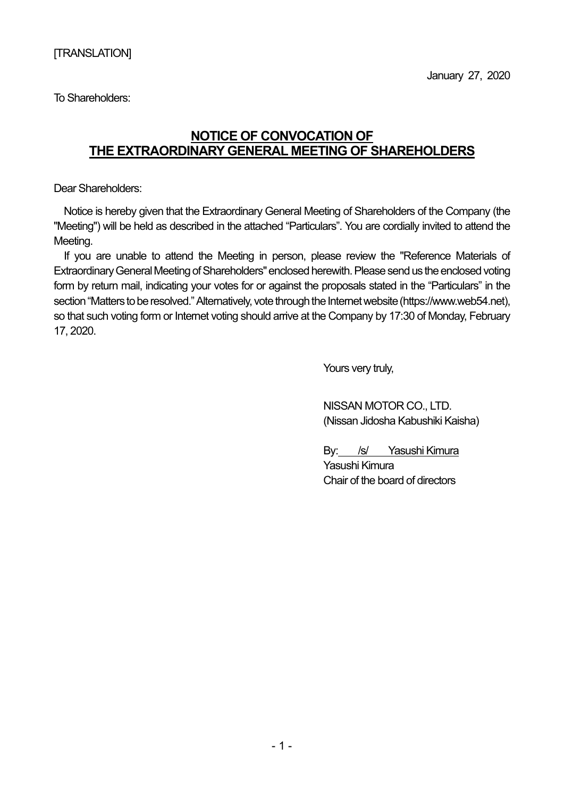To Shareholders:

## **NOTICE OF CONVOCATION OF THE EXTRAORDINARY GENERAL MEETING OF SHAREHOLDERS**

Dear Shareholders:

Notice is hereby given that the Extraordinary General Meeting of Shareholders of the Company (the "Meeting") will be held as described in the attached "Particulars". You are cordially invited to attend the Meeting.

If you are unable to attend the Meeting in person, please review the "Reference Materials of Extraordinary General Meeting of Shareholders" enclosed herewith. Please send us the enclosed voting form by return mail, indicating your votes for or against the proposals stated in the "Particulars" in the section "Matters to be resolved." Alternatively, vote through the Internet website (https://www.web54.net), so that such voting form or Internet voting should arrive at the Company by 17:30 of Monday, February 17, 2020.

Yours very truly,

NISSAN MOTOR CO., LTD. (Nissan Jidosha Kabushiki Kaisha)

By: /s/ Yasushi Kimura Yasushi Kimura Chair of the board of directors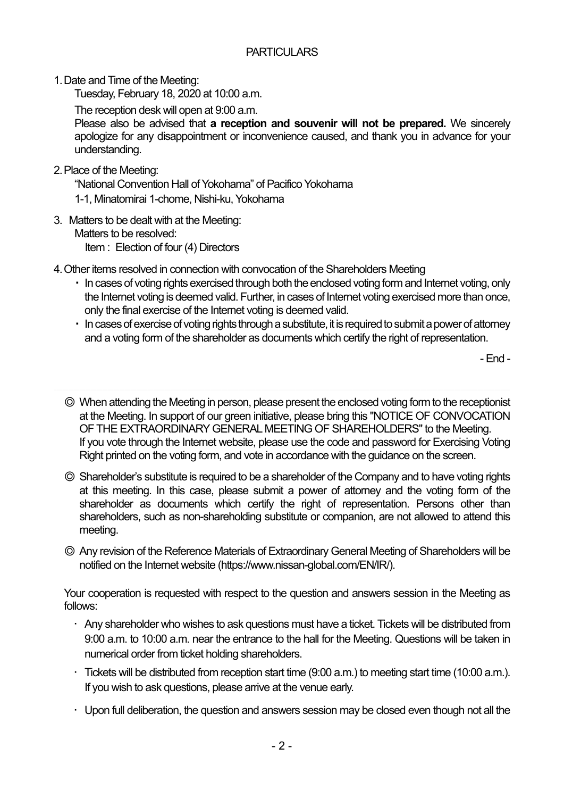1. Date and Time of the Meeting:

Tuesday, February 18, 2020 at 10:00 a.m.

The reception desk will open at 9:00 a.m.

Please also be advised that **a reception and souvenir will not be prepared.** We sincerely apologize for any disappointment or inconvenience caused, and thank you in advance for your understanding.

2. Place of the Meeting:

"National Convention Hall of Yokohama" of Pacifico Yokohama

- 1-1, Minatomirai 1-chome, Nishi-ku, Yokohama
- 3. Matters to be dealt with at the Meeting: Matters to be resolved: Item : Election of four (4) Directors
- 4. Other items resolved in connection with convocation of the Shareholders Meeting
	- ・ In cases of voting rights exercised through both the enclosed voting form and Internet voting, only the Internet voting is deemed valid. Further, in cases of Internet voting exercised more than once, only the final exercise of the Internet voting is deemed valid.
	- ・ In cases of exercise of voting rights through a substitute, it is required to submit a power of attorney and a voting form of the shareholder as documents which certify the right of representation.

- End -

- ◎ When attending the Meeting in person, please present the enclosed voting form to the receptionist at the Meeting. In support of our green initiative, please bring this "NOTICE OF CONVOCATION OF THE EXTRAORDINARY GENERAL MEETING OF SHAREHOLDERS" to the Meeting. If you vote through the Internet website, please use the code and password for Exercising Voting Right printed on the voting form, and vote in accordance with the guidance on the screen.
- ◎ Shareholder's substitute is required to be a shareholder of the Company and to have voting rights at this meeting. In this case, please submit a power of attorney and the voting form of the shareholder as documents which certify the right of representation. Persons other than shareholders, such as non-shareholding substitute or companion, are not allowed to attend this meeting.
- ◎ Any revision of the Reference Materials of Extraordinary General Meeting of Shareholders will be notified on the Internet website (https://www.nissan-global.com/EN/IR/).

Your cooperation is requested with respect to the question and answers session in the Meeting as follows:

- Any shareholder who wishes to ask questions must have a ticket. Tickets will be distributed from 9:00 a.m. to 10:00 a.m. near the entrance to the hall for the Meeting. Questions will be taken in numerical order from ticket holding shareholders.
- $\cdot$  Tickets will be distributed from reception start time (9:00 a.m.) to meeting start time (10:00 a.m.). If you wish to ask questions, please arrive at the venue early.
- $\cdot$  Upon full deliberation, the question and answers session may be closed even though not all the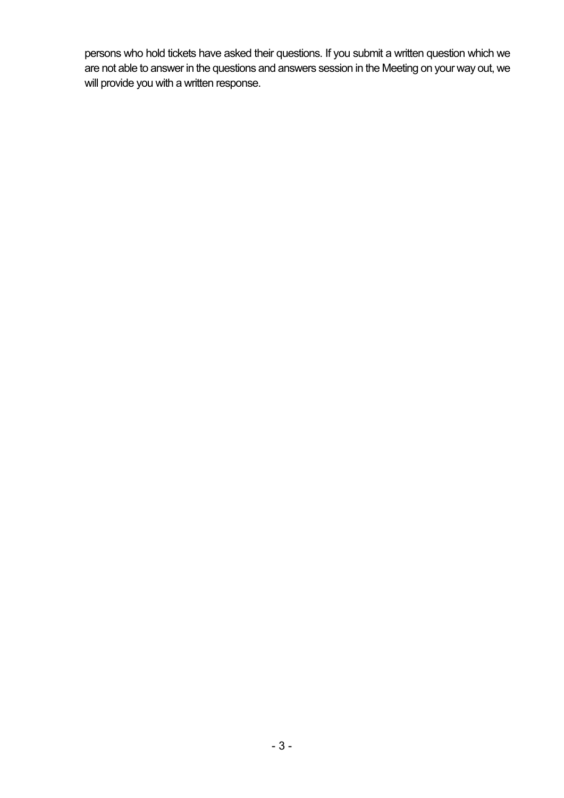persons who hold tickets have asked their questions. If you submit a written question which we are not able to answer in the questions and answers session in the Meeting on your way out, we will provide you with a written response.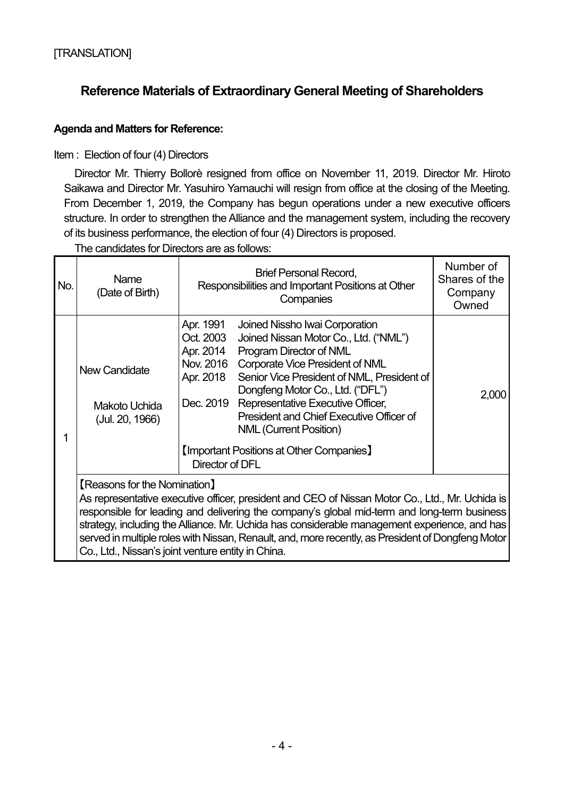## **Reference Materials of Extraordinary General Meeting of Shareholders**

## **Agenda and Matters for Reference:**

Item : Election of four (4) Directors

Director Mr. Thierry Bollorè resigned from office on November 11, 2019. Director Mr. Hiroto Saikawa and Director Mr. Yasuhiro Yamauchi will resign from office at the closing of the Meeting. From December 1, 2019, the Company has begun operations under a new executive officers structure. In order to strengthen the Alliance and the management system, including the recovery of its business performance, the election of four (4) Directors is proposed.

The candidates for Directors are as follows:

| No. | Name<br>(Date of Birth)                                                                                                                                                                                                                                                                                                                                                                                                                                                                          | <b>Brief Personal Record,</b><br>Responsibilities and Important Positions at Other<br>Companies                                                                                                                                                                                                                                                                                                                                                                                               | Number of<br>Shares of the<br>Company<br>Owned |  |
|-----|--------------------------------------------------------------------------------------------------------------------------------------------------------------------------------------------------------------------------------------------------------------------------------------------------------------------------------------------------------------------------------------------------------------------------------------------------------------------------------------------------|-----------------------------------------------------------------------------------------------------------------------------------------------------------------------------------------------------------------------------------------------------------------------------------------------------------------------------------------------------------------------------------------------------------------------------------------------------------------------------------------------|------------------------------------------------|--|
| 1   | <b>New Candidate</b><br>Makoto Uchida<br>(Jul. 20, 1966)                                                                                                                                                                                                                                                                                                                                                                                                                                         | Apr. 1991<br>Joined Nissho Iwai Corporation<br>Oct. 2003<br>Joined Nissan Motor Co., Ltd. ("NML")<br>Apr. 2014<br>Program Director of NML<br>Nov. 2016<br><b>Corporate Vice President of NML</b><br>Senior Vice President of NML, President of<br>Apr. 2018<br>Dongfeng Motor Co., Ltd. ("DFL")<br>Representative Executive Officer,<br>Dec. 2019<br>President and Chief Executive Officer of<br><b>NML (Current Position)</b><br>[Important Positions at Other Companies]<br>Director of DFL | 2,000                                          |  |
|     | <b>[Reasons for the Nomination]</b><br>As representative executive officer, president and CEO of Nissan Motor Co., Ltd., Mr. Uchida is<br>responsible for leading and delivering the company's global mid-term and long-term business<br>strategy, including the Alliance. Mr. Uchida has considerable management experience, and has<br>served in multiple roles with Nissan, Renault, and, more recently, as President of Dongfeng Motor<br>Co., Ltd., Nissan's joint venture entity in China. |                                                                                                                                                                                                                                                                                                                                                                                                                                                                                               |                                                |  |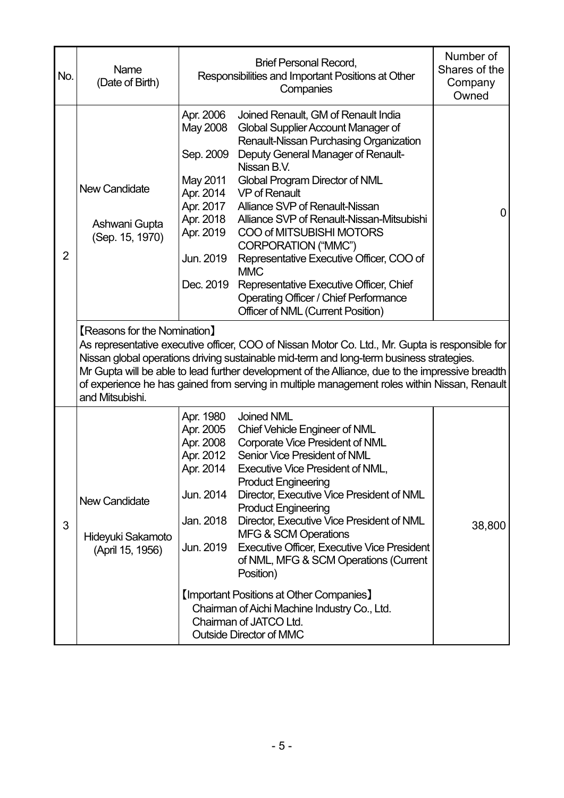| No.            | Name<br>(Date of Birth)                                                                                                                                                                                                                                                                                                                                                                                                                                   | Responsibilities and Important Positions at Other                                                                            | Number of<br>Shares of the<br>Company<br>Owned                                                                                                                                                                                                                                                                                                                                                                                                                                                                                                                                                                                                     |        |  |  |
|----------------|-----------------------------------------------------------------------------------------------------------------------------------------------------------------------------------------------------------------------------------------------------------------------------------------------------------------------------------------------------------------------------------------------------------------------------------------------------------|------------------------------------------------------------------------------------------------------------------------------|----------------------------------------------------------------------------------------------------------------------------------------------------------------------------------------------------------------------------------------------------------------------------------------------------------------------------------------------------------------------------------------------------------------------------------------------------------------------------------------------------------------------------------------------------------------------------------------------------------------------------------------------------|--------|--|--|
| $\overline{2}$ | <b>New Candidate</b><br>Ashwani Gupta<br>(Sep. 15, 1970)                                                                                                                                                                                                                                                                                                                                                                                                  | Apr. 2006<br>May 2008<br>Sep. 2009<br>May 2011<br>Apr. 2014<br>Apr. 2017<br>Apr. 2018<br>Apr. 2019<br>Jun. 2019<br>Dec. 2019 | Joined Renault, GM of Renault India<br>Global Supplier Account Manager of<br>Renault-Nissan Purchasing Organization<br>Deputy General Manager of Renault-<br>Nissan B.V.<br>Global Program Director of NML<br><b>VP of Renault</b><br>Alliance SVP of Renault-Nissan<br>Alliance SVP of Renault-Nissan-Mitsubishi<br><b>COO of MITSUBISHI MOTORS</b><br>CORPORATION ("MMC")<br>Representative Executive Officer, COO of<br><b>MMC</b><br>Representative Executive Officer, Chief<br><b>Operating Officer / Chief Performance</b><br>Officer of NML (Current Position)                                                                              | 0      |  |  |
|                | <b>[Reasons for the Nomination]</b><br>As representative executive officer, COO of Nissan Motor Co. Ltd., Mr. Gupta is responsible for<br>Nissan global operations driving sustainable mid-term and long-term business strategies.<br>Mr Gupta will be able to lead further development of the Alliance, due to the impressive breadth<br>of experience he has gained from serving in multiple management roles within Nissan, Renault<br>and Mitsubishi. |                                                                                                                              |                                                                                                                                                                                                                                                                                                                                                                                                                                                                                                                                                                                                                                                    |        |  |  |
| 3              | <b>New Candidate</b><br>Hideyuki Sakamoto<br>(April 15, 1956)                                                                                                                                                                                                                                                                                                                                                                                             | Apr. 1980<br>Apr. 2005<br>Apr. 2008<br>Apr. 2012<br>Apr. 2014<br>Jun. 2014<br>Jan. 2018<br>Jun. 2019                         | <b>Joined NML</b><br><b>Chief Vehicle Engineer of NML</b><br><b>Corporate Vice President of NML</b><br>Senior Vice President of NML<br><b>Executive Vice President of NML,</b><br><b>Product Engineering</b><br>Director, Executive Vice President of NML<br><b>Product Engineering</b><br>Director, Executive Vice President of NML<br><b>MFG &amp; SCM Operations</b><br><b>Executive Officer, Executive Vice President</b><br>of NML, MFG & SCM Operations (Current<br>Position)<br><b>[Important Positions at Other Companies]</b><br>Chairman of Aichi Machine Industry Co., Ltd.<br>Chairman of JATCO Ltd.<br><b>Outside Director of MMC</b> | 38,800 |  |  |